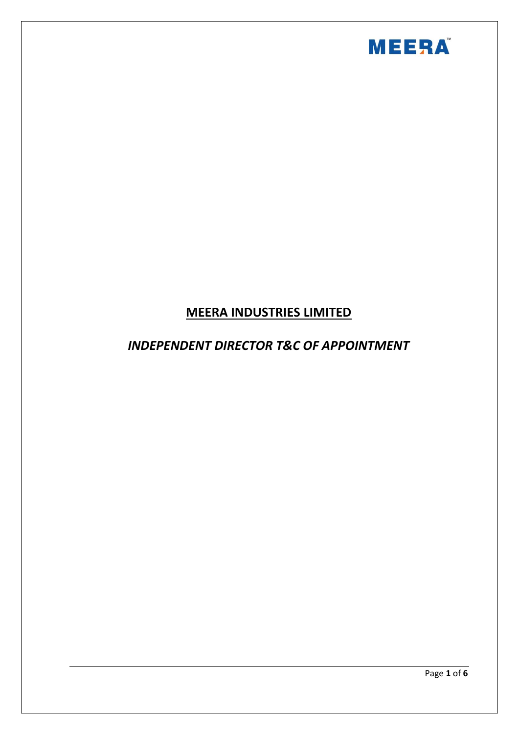

# **MEERA INDUSTRIES LIMITED**

## *INDEPENDENT DIRECTOR T&C OF APPOINTMENT*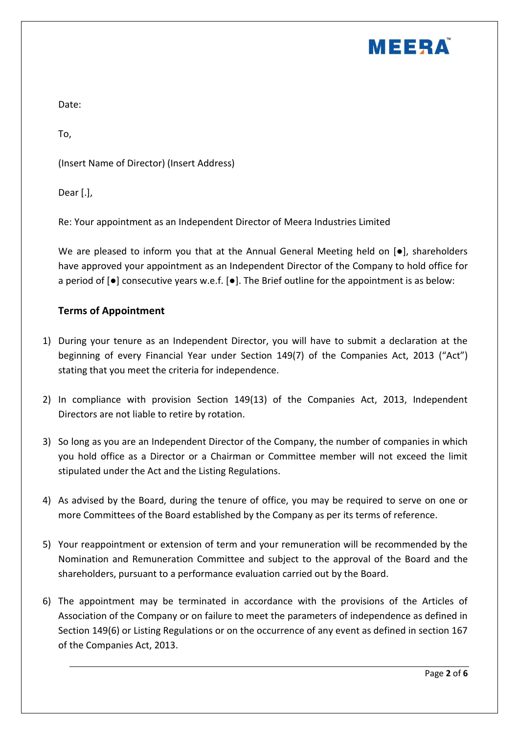

Date:

To,

(Insert Name of Director) (Insert Address)

Dear [.],

Re: Your appointment as an Independent Director of Meera Industries Limited

We are pleased to inform you that at the Annual General Meeting held on [ $\bullet$ ], shareholders have approved your appointment as an Independent Director of the Company to hold office for a period of [●] consecutive years w.e.f. [●]. The Brief outline for the appointment is as below:

#### **Terms of Appointment**

- 1) During your tenure as an Independent Director, you will have to submit a declaration at the beginning of every Financial Year under Section 149(7) of the Companies Act, 2013 ("Act") stating that you meet the criteria for independence.
- 2) In compliance with provision Section 149(13) of the Companies Act, 2013, Independent Directors are not liable to retire by rotation.
- 3) So long as you are an Independent Director of the Company, the number of companies in which you hold office as a Director or a Chairman or Committee member will not exceed the limit stipulated under the Act and the Listing Regulations.
- 4) As advised by the Board, during the tenure of office, you may be required to serve on one or more Committees of the Board established by the Company as per its terms of reference.
- 5) Your reappointment or extension of term and your remuneration will be recommended by the Nomination and Remuneration Committee and subject to the approval of the Board and the shareholders, pursuant to a performance evaluation carried out by the Board.
- 6) The appointment may be terminated in accordance with the provisions of the Articles of Association of the Company or on failure to meet the parameters of independence as defined in Section 149(6) or Listing Regulations or on the occurrence of any event as defined in section 167 of the Companies Act, 2013.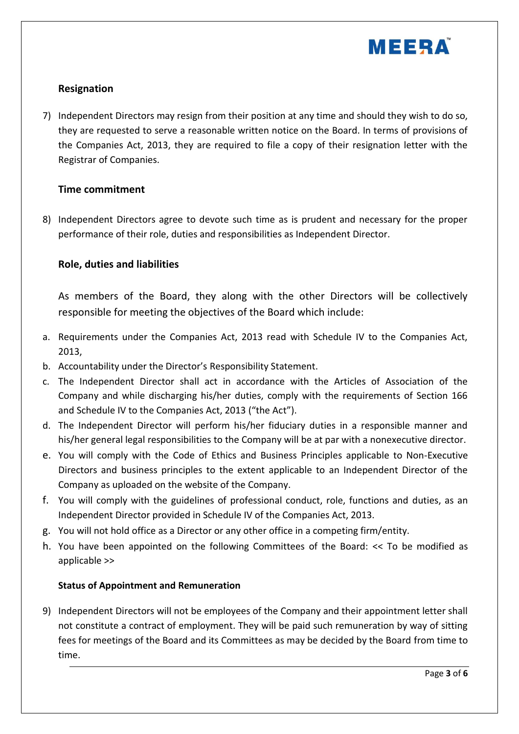

## **Resignation**

7) Independent Directors may resign from their position at any time and should they wish to do so, they are requested to serve a reasonable written notice on the Board. In terms of provisions of the Companies Act, 2013, they are required to file a copy of their resignation letter with the Registrar of Companies.

#### **Time commitment**

8) Independent Directors agree to devote such time as is prudent and necessary for the proper performance of their role, duties and responsibilities as Independent Director.

#### **Role, duties and liabilities**

As members of the Board, they along with the other Directors will be collectively responsible for meeting the objectives of the Board which include:

- a. Requirements under the Companies Act, 2013 read with Schedule IV to the Companies Act, 2013,
- b. Accountability under the Director's Responsibility Statement.
- c. The Independent Director shall act in accordance with the Articles of Association of the Company and while discharging his/her duties, comply with the requirements of Section 166 and Schedule IV to the Companies Act, 2013 ("the Act").
- d. The Independent Director will perform his/her fiduciary duties in a responsible manner and his/her general legal responsibilities to the Company will be at par with a nonexecutive director.
- e. You will comply with the Code of Ethics and Business Principles applicable to Non-Executive Directors and business principles to the extent applicable to an Independent Director of the Company as uploaded on the website of the Company.
- f. You will comply with the guidelines of professional conduct, role, functions and duties, as an Independent Director provided in Schedule IV of the Companies Act, 2013.
- g. You will not hold office as a Director or any other office in a competing firm/entity.
- h. You have been appointed on the following Committees of the Board: << To be modified as applicable >>

#### **Status of Appointment and Remuneration**

9) Independent Directors will not be employees of the Company and their appointment letter shall not constitute a contract of employment. They will be paid such remuneration by way of sitting fees for meetings of the Board and its Committees as may be decided by the Board from time to time.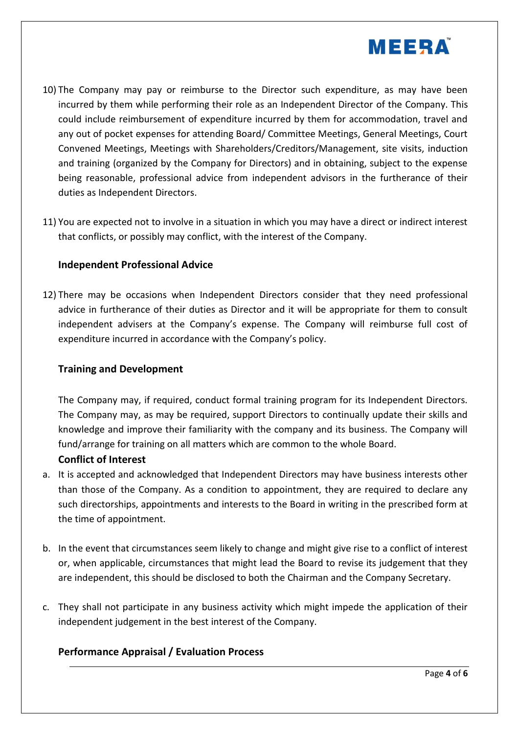

- 10) The Company may pay or reimburse to the Director such expenditure, as may have been incurred by them while performing their role as an Independent Director of the Company. This could include reimbursement of expenditure incurred by them for accommodation, travel and any out of pocket expenses for attending Board/ Committee Meetings, General Meetings, Court Convened Meetings, Meetings with Shareholders/Creditors/Management, site visits, induction and training (organized by the Company for Directors) and in obtaining, subject to the expense being reasonable, professional advice from independent advisors in the furtherance of their duties as Independent Directors.
- 11) You are expected not to involve in a situation in which you may have a direct or indirect interest that conflicts, or possibly may conflict, with the interest of the Company.

#### **Independent Professional Advice**

12) There may be occasions when Independent Directors consider that they need professional advice in furtherance of their duties as Director and it will be appropriate for them to consult independent advisers at the Company's expense. The Company will reimburse full cost of expenditure incurred in accordance with the Company's policy.

#### **Training and Development**

The Company may, if required, conduct formal training program for its Independent Directors. The Company may, as may be required, support Directors to continually update their skills and knowledge and improve their familiarity with the company and its business. The Company will fund/arrange for training on all matters which are common to the whole Board.

## **Conflict of Interest**

- a. It is accepted and acknowledged that Independent Directors may have business interests other than those of the Company. As a condition to appointment, they are required to declare any such directorships, appointments and interests to the Board in writing in the prescribed form at the time of appointment.
- b. In the event that circumstances seem likely to change and might give rise to a conflict of interest or, when applicable, circumstances that might lead the Board to revise its judgement that they are independent, this should be disclosed to both the Chairman and the Company Secretary.
- c. They shall not participate in any business activity which might impede the application of their independent judgement in the best interest of the Company.

## **Performance Appraisal / Evaluation Process**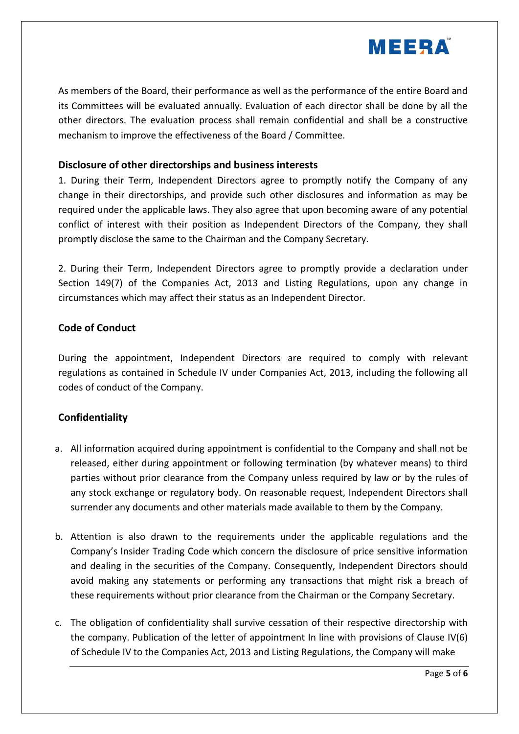

As members of the Board, their performance as well as the performance of the entire Board and its Committees will be evaluated annually. Evaluation of each director shall be done by all the other directors. The evaluation process shall remain confidential and shall be a constructive mechanism to improve the effectiveness of the Board / Committee.

#### **Disclosure of other directorships and business interests**

1. During their Term, Independent Directors agree to promptly notify the Company of any change in their directorships, and provide such other disclosures and information as may be required under the applicable laws. They also agree that upon becoming aware of any potential conflict of interest with their position as Independent Directors of the Company, they shall promptly disclose the same to the Chairman and the Company Secretary.

2. During their Term, Independent Directors agree to promptly provide a declaration under Section 149(7) of the Companies Act, 2013 and Listing Regulations, upon any change in circumstances which may affect their status as an Independent Director.

## **Code of Conduct**

During the appointment, Independent Directors are required to comply with relevant regulations as contained in Schedule IV under Companies Act, 2013, including the following all codes of conduct of the Company.

## **Confidentiality**

- a. All information acquired during appointment is confidential to the Company and shall not be released, either during appointment or following termination (by whatever means) to third parties without prior clearance from the Company unless required by law or by the rules of any stock exchange or regulatory body. On reasonable request, Independent Directors shall surrender any documents and other materials made available to them by the Company.
- b. Attention is also drawn to the requirements under the applicable regulations and the Company's Insider Trading Code which concern the disclosure of price sensitive information and dealing in the securities of the Company. Consequently, Independent Directors should avoid making any statements or performing any transactions that might risk a breach of these requirements without prior clearance from the Chairman or the Company Secretary.
- c. The obligation of confidentiality shall survive cessation of their respective directorship with the company. Publication of the letter of appointment In line with provisions of Clause IV(6) of Schedule IV to the Companies Act, 2013 and Listing Regulations, the Company will make